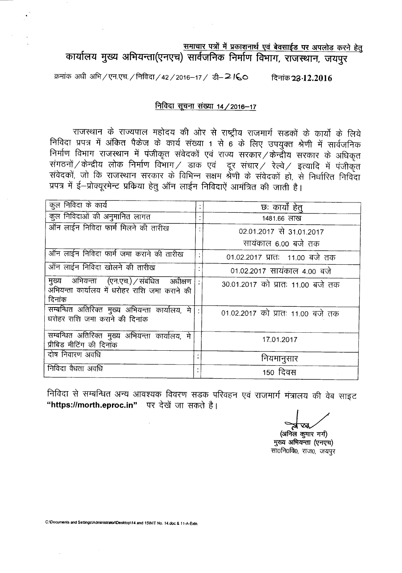# <u>समाचार पत्रों में प्रकाशनार्थ एवं बेवसाईड पर अपलोड करने हेतु</u>

कार्यालय मुख्य अभियन्ता(एनएच) सार्वजनिक निर्माण विभाग, राजस्थान, जयपुर

क्रमांक अधी अभि / एन.एच. / निविदा / 42 / 2016-17 / डी- 2 ICO विनांक 23.12.2016

#### निविदा सूचना संख्या 14 / 2016–17

राजस्थान के राज्यपाल महोदय की ओर से राष्ट्रीय राजमार्ग सडकों के कार्यों के लिये निविदा प्रपत्र में अंकित पैकेज के कार्य संख्या 1 से 6 के लिए उपयुक्त श्रेणी में सार्वजनिक निर्माण विभाग राजस्थान में पंजीकृत संवेदकों एवं राज्य सरकार /केन्द्रीय सरकार के अधिकृत संगठनों / केन्द्रीय लोक निर्माण विभाग / डाक एवं दूर संचार / रेल्वे / इत्यादि में पंजीकृत संवेदकों, जो कि राजस्थान सरकार के विभिन्न सक्षम श्रेणी के संवेदकों हो, से निर्धारित निर्विदा प्रपत्र में ई-प्रोक्यूरमेन्ट प्रकिया हेतु ऑन लाईन निविदाऐं आमंत्रित की जाती है।

| कूल निविदा के कार्य                                                                                |           | छः कार्यों हेत्                   |
|----------------------------------------------------------------------------------------------------|-----------|-----------------------------------|
| कुल निविदाओं की अनुमानित लागत                                                                      |           | 1481.66 लाख                       |
| ऑन लाईन निविदा फार्म मिलने की तारीख                                                                |           | 02.01.2017 से 31.01.2017          |
|                                                                                                    |           | सायंकाल 6.00 बजे तक               |
| ऑन लाईन निविदा फार्म जमा कराने की तारीख                                                            | $\bullet$ | 01.02.2017 प्रातः 11.00 बजे तक    |
| ऑन लाईन निविदा खोलने की तारीख                                                                      |           | 01.02.2017 सायंकाल 4.00 बजे       |
| मुख्य अभियन्ता (एन.एच.) संबंधित अधीक्षण<br>अभियन्ता कार्यालय में धरोहर राशि जमा कराने की<br>दिनांक |           | 30.01.2017 को प्रातः 11.00 बजे तक |
| सम्बन्धित अतिरिक्त मुख्य अभियन्ता कार्यालय, मे<br>धरोहर राशि जमा कराने की दिनांक                   |           | 01.02.2017 को प्रातः 11.00 बजे तक |
| सम्बन्धित अतिरिक्त मुख्य अभियन्ता कार्यालय, मे<br>प्रीबिड मीटिंग की दिनॉक                          |           | 17.01.2017                        |
| दोष निवारण अवधि                                                                                    |           | नियमानुसार                        |
| निविदा वैधता अवधि                                                                                  |           | 150 दिवस                          |

निविदा से सम्बन्धित अन्य आवश्यक विवरण सडक परिवहन एवं राजमार्ग मंत्रालय की वेब साइट "https://morth.eproc.in" पर देखें जा सकते है।

(अनिल कुमार गर्ग) मुख्य अभियन्ता (एनएच) सा0नि0वि0, राज0, जयपुर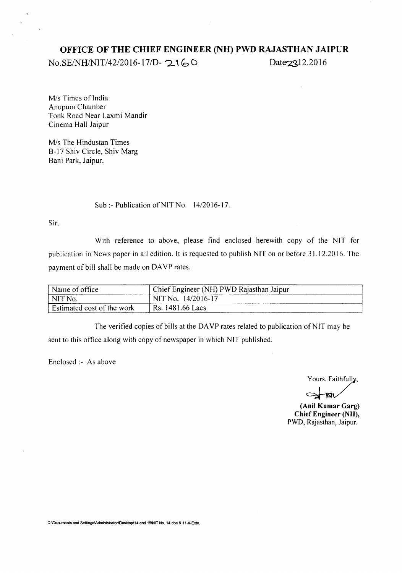### **OFFICE OF THE CHIEF ENGINEER (NH) PWD RAJASTHAN JAIPUR**

*No.SE/NH/NIT/42/2016-17/D-* 2160 Date 23.12.2016

**M**/s Times of India Anupum Chamber Tonk Road Near Laxmi Mandir Cinema Hall Jaipur

M/s The Hindustan Times B-17 Shiv Circle, Shiv Marg Bani Park, Jaipur.

Sub:- Publication of NIT No. *14/2016-17.*

Sir,

 $\overline{z}$ 

With reference to above, please find enclosed herewith copy of the NIT for publication in News paper in all edition. It is requested to publish NIT on or before 31.12.2016. The payment of bill shall be made on DAVP rates.

| Name of office                                               | Chief Engineer (NH) PWD Rajasthan Jaipur |
|--------------------------------------------------------------|------------------------------------------|
| $\overline{\phantom{a}}$ NIT $\overline{\phantom{a}}$<br>No. | NIT No. 14/2016-17                       |
| Estimated cost of the work                                   | Rs. 1481.66 Lacs                         |

The verified copies of bills at the DAVP rates related to publication of NIT may be sent to this office along with copy of newspaper in which NIT published.

Enclosed:- As above

Yours. Faithfully,

**(Anil Kumar** Garg) **Chief Engineer** (NH), PWD, Rajasthan, Jaipur.

C:\Documents and Settings\Administrator\Desktop\14 and 15\NIT No. 14.doc & 11-A-Extn.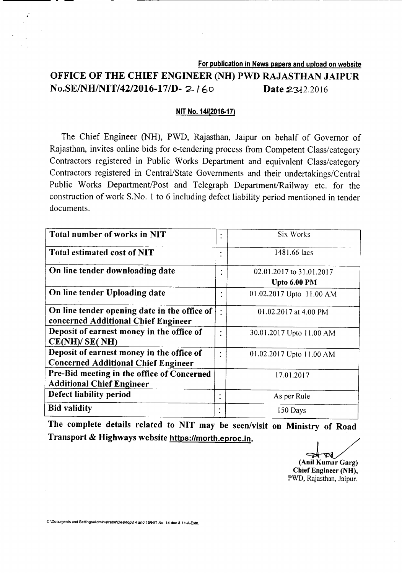## For publication in News papers and upload on website OFFICE OF THE CHIEF ENGINEER (NH) PWD RAJASTHAN JAIPUR **No.SE/NH/NIT/42/2016-17/D-2160 Date 2312.2016**

------------- ----- -------~---

#### NIT No. *141(2016-17)*

The Chief Engineer (NH), PWD, Rajasthan, Jaipur on behalf of Governor of Rajasthan, invites online bids for e-tendering process from Competent Class/category Contractors registered in Public Works Department and equivalent Class/category Contractors registered in Central/State Governments and their undertakings/Central Public Works Department/Post and Telegraph Department/Railway etc. for the construction of work S.No. 1 to 6 including defect liability period mentioned in tender documents.

| Total number of works in NIT                 | ٠         | Six Works                |
|----------------------------------------------|-----------|--------------------------|
|                                              | ٠         |                          |
| Total estimated cost of NIT                  |           | 1481.66 lacs             |
|                                              | ٠         |                          |
| On line tender downloading date              |           | 02.01.2017 to 31.01.2017 |
|                                              |           | Upto 6.00 PM             |
| On line tender Uploading date                |           | 01.02.2017 Upto 11.00 AM |
|                                              |           |                          |
| On line tender opening date in the office of |           | 01.02.2017 at 4.00 PM    |
| concerned Additional Chief Engineer          |           |                          |
| Deposit of earnest money in the office of    | $\bullet$ | 30.01.2017 Upto 11.00 AM |
| CE(NH)/ SE(NH)                               |           |                          |
| Deposit of earnest money in the office of    | $\bullet$ | 01.02.2017 Upto 11.00 AM |
| <b>Concerned Additional Chief Engineer</b>   |           |                          |
| Pre-Bid meeting in the office of Concerned   |           | 17.01.2017               |
| <b>Additional Chief Engineer</b>             |           |                          |
| Defect liability period                      | $\bullet$ | As per Rule              |
| <b>Bid validity</b>                          |           | 150 Days                 |

The complete details related to NIT may be seen/visit on Ministry of Road Transport & Highways website https://morth.eproc.in.

mstry of Road<br>
(Anil Kumar Garg) Chief Engineer (NH), PWD, Rajasthan, Jaipur.

C:\Docurpents and Settings\Administrator\Desktop\14 and 15\NIT No. 14.doc & 11-A-Extn.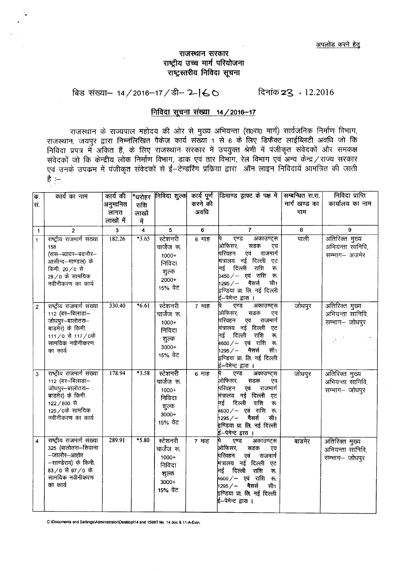#### राजस्थान सरकार राष्ट्रीय उच्च मार्ग परियोजना राष्ट्रस्तरीय निविदा सूचना

## बिड संख्या− 14/2016-17/डी- 2-160 दिनांक 23 · 12.2016

#### निविदा सूचना संख्या 14 / 2016-17

राजस्थान के राज्यपाल महोदय की ओर से मुख्य अभियन्ता (रा0रा0 मार्ग) सार्वजनिक निर्माण विभाग, राजस्थान, जयपुर द्वारा निम्नलिखित पैकेज कार्य संख्या 1 से 6 के लिए डिफैक्ट लाईब्लिटी अवधि जो कि <sup>~</sup> <sup>~</sup> <sup>~</sup> 3lfclm t cf> <sup>~</sup> <sup>~</sup> <sup>~</sup> <sup>~</sup> I3qgCfd <sup>~</sup> <sup>~</sup> q\nlCQd fi~C:Cf)'j 3Th "fl"11cPaf fi~ C:Cf)'jvfr 1\$ ~ "C'1lcP f.1mur fcMJ1T, <sup>~</sup> <sup>~</sup> (fR" fcMJ1T, -t;r fcMJ1T <sup>~</sup> <sup>~</sup> <sup>~</sup> /~ <sup>~</sup> <sup>~</sup> <sup>~</sup> \3""4CP11 <sup>~</sup> cj\J1ICQd fi~C:Cf)'j "'!f t-e~\SRll <sup>~</sup> Gffi 3l'R ~ P!FclC:lti <sup>~</sup> <sup>~</sup> <sup>~</sup> है $:$ 

| क.                      | कार्य का नाम                                                                                                                              | कार्य की    | ∣*धरोहर    | निविदा शुल्क                                                                |         | कार्य पूर्ण डिमाण्ड ड्राफ्ट के पक्ष में                                                                                                                                                                                                                   | सम्बन्धित रा.रा. | निविदा प्राप्ति                                      |
|-------------------------|-------------------------------------------------------------------------------------------------------------------------------------------|-------------|------------|-----------------------------------------------------------------------------|---------|-----------------------------------------------------------------------------------------------------------------------------------------------------------------------------------------------------------------------------------------------------------|------------------|------------------------------------------------------|
| स.                      |                                                                                                                                           | अनुमानित    | राशि       |                                                                             | करने की |                                                                                                                                                                                                                                                           | मार्ग खण्ड का    | कार्यालय का नाम                                      |
|                         |                                                                                                                                           | लागत        | लाखों      |                                                                             | अवधि    |                                                                                                                                                                                                                                                           | नाम              |                                                      |
|                         |                                                                                                                                           | लाखों में   | में        |                                                                             |         |                                                                                                                                                                                                                                                           |                  |                                                      |
| $\mathbf{1}$            | $\overline{2}$                                                                                                                            | $\mathbf 3$ | $\ddot{4}$ | 5                                                                           | 6       | $\overline{7}$                                                                                                                                                                                                                                            | 8                | $\mathbf{9}$                                         |
| $\mathbf{1}$            | राष्ट्रीय राजमार्ग संख्या<br>158<br>(रास–ब्यावर–बदनौर–<br>आसीन्द--माण्डल) के<br>किमी. 20/0 से<br>28 / 0 के सामयिक<br>नवीनीकरण का कार्य    | 182.26      | $*3.65$    | स्टेशनरी<br>चार्जेज रू.<br>1000+<br>निविदा<br>शुल्क<br>$2000+$<br>15% वेट   | 6 माह   | एण्ड<br>अकाउण्ट्स<br>ओफिसर,<br>सडक<br>एव<br>राजमार्ग<br>परिवहन<br>एवं<br>मंत्रालय नई दिल्ली<br>एट<br>नई दिल्ली<br>राशि<br>रू.<br>.<br>3450⁄– एवं राशि रू.<br>$1295/ -$<br>मैसर्स<br>सी1<br>इण्डिया प्रा. लि. नई दिल्ली<br>ई–पेमेन्ट द्वा <u>रा ।</u>      | पाली             | अतिरिक्त मुख्य<br>अभियन्ता सानिवि,<br>सम्भाग- अजमेर  |
| $\overline{2}$          | राष्ट्रीय राजमार्ग संख्या<br>112 (बर-बिलाडा-<br>जोधपुर-बालोतरा-<br>बाडमेर) के किमी.<br>111/0 से 117/0के<br>सामयिक नवीनीकरण<br>का कार्य    | 330.40      | $*6.61$    | स्टेशनरी<br>चार्जेज रू.<br>1000+<br>निविदा<br>शुल्क<br>$3000+$<br>15% ਕੇਟ   | 7 माह   | एण्ड<br>अकाउण्ट्स<br>ओफिसर,<br>सडक<br>एव<br>एवं<br>परिवहन<br>राजमार्ग<br>मंत्रालय नई दिल्ली एट<br>नई दिल्ली<br>राशि<br>रू.<br> 4600 / -- एवं राशि रू.<br>मैसर्स<br>सी1<br>$1295 / -$<br>.<br>इण्डिया प्रा. लि. नई दिल्ली<br>ई--पेमेन्ट द्वारा ।           | जोधपुर           | अतिरिक्त मुख्य<br>अभियन्ता सानिवि,<br>सम्भाग– जोधपुर |
| 3                       | राष्ट्रीय राजमार्ग संख्या<br>112 (बर-बिलाडा-<br>जोधपुर-बालोतरा-<br>बाडमेर) के किमी.<br>122/800 से<br>125/0के सामयिक<br>नवीनीकरण का कार्य  | 178.94      | $*3.58$    | स्टेशनरी<br>चार्जेज रू.<br>$1000+$<br>निविदा<br>शुल्क<br>$3000+$<br>15% ਕੇਟ | 6 माह   | एण्ड<br>अकाउण्ट्स<br>ओफिसर,<br>सडक<br>एव<br>एवं<br>परिवहन<br>राजमार्ग<br>मंत्रालय नई दिल्ली एट<br>राशि<br>नई दिल्ली<br>रू.<br> <br> 4600∕— एवं राशि रू.<br>$h295/ -$<br>मैसर्स<br>सी1<br>इण्डिया प्रा. लि. नई दिल्ली<br>ई–पेमेन्ट द्वारा ।                | जोधपुर           | अतिरिक्त मुख्य<br>अभियन्ता सानिवि,<br>सम्भाग- जोधपुर |
| $\overline{\mathbf{4}}$ | राष्ट्रीय राजमार्ग संख्या<br>325 (बालोतरा-सिवाना<br>—जालौर—आहोर<br>-साण्डेराव) के किमी.<br>83/0 से 97/0 के<br>सामयिक नवीनीकरण<br>का कार्य | 289.91      | $*5.80$    | स्टेशनरी<br>चार्जेज रू.<br>$1000+$<br>निविदा<br>शुल्क<br>$3000+$<br>15% वेट | 7 माह   | एण्ड<br>अकाउण्ट्स<br>ओफिसर,<br>सडक<br>एव<br>एवं<br>परिवहन<br>राजमार्ग<br>.<br>मंत्रालय नई दिल्ली<br>एट<br>नई दिल्ली<br>राशि<br>रू.<br>,<br>µ600⁄— एवं राशि रू.<br>$h295/ -$<br>मैसर्स<br>सी1<br>इण्डिया प्रा. <b>लि</b> . नई दिल्ली<br>ई–पेमेन्ट द्वारा । | बाडमेर           | अतिरिक्त मुख्य<br>अभियन्ता सानिवि,<br>सम्भाग- जोधपुर |

C:lDocuments and SettingslAdministrator\Oesktopl14 and 15INIT No. 14.doc & 11·A·Ex1n.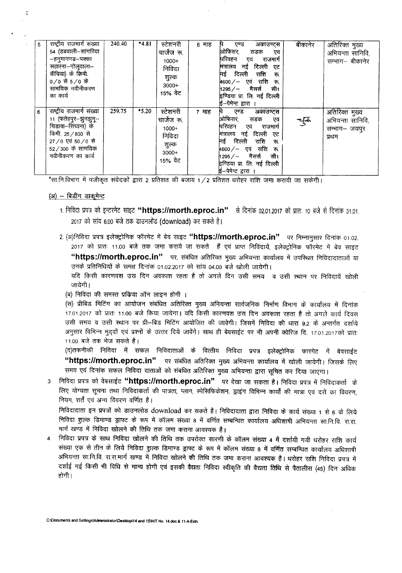| 5 | राष्ट्रीय राजमार्ग संख्या<br>54 (डबवाली–सांगरिया<br>–हनुमानगढ–पक्का<br>सहारना-गोलूवाला-<br>कैंचिया) के किमी.<br>$0/0$ से 5/0 के<br>सामयिक नवीनीकरण<br>का कार्य | 240.40 | $*4.81$ | स्टेशनरी<br>चार्जेज रू.<br>$1000+$<br>निविदा<br>शुल्क<br>$3000+$<br>15% वेट | 6 माह | पि एण्ड<br>अकाउण्टस<br>ओफिसर<br>सडक<br>एव<br>परिवहन एवं<br>राजमार्ग<br>मंत्रालय नई दिल्ली<br>एट<br>नई दिल्ली<br>राशि<br>रू.<br>$4600 / -$ एवं राशि रू.<br> 1295 / — मैसर्स<br>सी1<br>इण्डिया प्रा. लि. नई दिल्ली<br>ई-पेमेन्ट द्वारा । | बीकानेर | अतिरिक्त मुख्य<br>अभियन्ता सानिवि,<br>सम्भाग– बीकानेर        |
|---|----------------------------------------------------------------------------------------------------------------------------------------------------------------|--------|---------|-----------------------------------------------------------------------------|-------|----------------------------------------------------------------------------------------------------------------------------------------------------------------------------------------------------------------------------------------|---------|--------------------------------------------------------------|
| 6 | राष्ट्रीय राजमार्ग संख्या<br>11 (फतेहपुर–झुनझुनु–<br>चिडावा–सिंघाना) के<br>किमी. 25 / 800 से<br>27/0 एवं 50/0 से<br>$52 / 300$ के सामयिक<br>नवीनीकरण का कार्य  | 259.75 | $*5.20$ | स्टेशनरी<br>चार्जेज रू.<br>$1000+$<br>निविदा<br>शुल्क<br>$3000+$<br>15% वेट | 7 माह | एण्ड<br>अकाउण्ट्स<br>ओफिसर,<br>सडक<br>एव<br>परिवहन<br>एवं<br>राजमार्ग<br>मंत्रालय नई दिल्ली<br>ਾਟ<br>नई दिल्ली<br>राशि<br>ক.<br>$4600 / -$ एवं राशि रू.<br>सी1<br>1295 / — मैसर्स<br>इण्डिया प्रा. लि. नई दिल्ली<br>ई-पेमेन्ट द्वारा । | चुक्र   | अतिरिक्त मुख्य<br>अभियन्ता सानिवि,<br>सम्भाग- जयपुर<br>प्रथम |

\*सा.नि.विभाग में पंजीकृत संवेदकों द्वारा 2 प्रतिशत की बजाय 1/2 प्रतिशत धरोहर राशि जमा करायी जा सकेगी।

#### $(3i)$  - बिडींग डाकुमेन्ट

- 1. निविदा प्रपत्र को इन्टरनेट साइट **"https://morth.eproc.in"** से दिनांक 02.01.2017 को प्रातः 10 बजे से दिनांक 31.01. 2017 को सांय 6.00 बजे तक डाउनलोड (download) कर सकते है।
- 2. (अ)निविदा प्रपत्र इलेक्ट्रोनिक फॉरमेट में बेव साइट **"https://morth.eproc.in"** पर निम्नानुसार दिनांक 01.02. 2017 को प्रातः 11.00 बजे तक जमा कराये जा सकते हैं एवं प्राप्त निविदायें, इलेक्ट्रोनिक फॉरमेट में बेव साइट "https://morth.eproc.in" पर, संबंधित अतिरिक्त मुख्य अभियन्ता कार्यालय में उपस्थित निविदादाताओं या उनके प्रतिनिधियों के समक्ष दिनांक 01.02.2017 को सांय 04.00 बजे खोली जायेगी।

यदि किसी कारणवश उस दिन अवकाश रहता है तो अगले दिन उसी समय व उसी स्थान पर निविदायें खोली जायेगी।

(ब) निविदा की समस्त प्रक्रिया ऑन लाइन होगी ।

(स) प्रीबिड मिटिंग का आयोजन संबंधित अतिरिक्त मुख्य अभियन्ता सार्वजनिक निर्माण विभाग के कार्यालय में दिनांक 17.01.2017 को प्रातः 11.00 बजे किया जायेगा। यदि किसी कारणवंश उस दिन अवकाश रहता है तो अगले कार्य दिवस उसी समय व उसी स्थान पर प्री-बिड मिटिंग आयोजित की जावेगी। जिसमें निविदा की धारा 9.2 के अन्तर्गत दर्शाये अनुसार विभिन्न मुद्दों एवं प्रश्नों के उत्तर दिये जावेंगे। साथ ही बेवसाईट पर भी अपनी क्वेरिज दि. 17.01.2017को प्रातः 11.00 बजे तक भेज सकते है।

(द)तकनीकी निविदा में सफल निविदाताओं के वित्तीय निविदा प्रपत्र इलेक्ट्रोनिक फारगेट में बेवरााईट "https://morth.eproc.in" पर संबंधित अतिरिक्त मुख्य अभियन्ता कार्यालय में खोली जायेगी। जिसके लिए समय एवं दिनांक सफल निविदा दाताओं को संबंधित अतिरिक्त मुख्य अभियन्ता द्वारा सूचित कर दिया जाएगा।

3 निविदा प्रपत्र को वेबसाईट "https://morth.eproc.in" पर देखा जा सकता है। निविदा प्रपत्र में निविदाकर्ता के लिए योग्यता सूचना तथा निविदाकर्ता की पात्रता, प्लान, स्पेसिफिकेशन, ड्राइंग विभिन्न कार्यों की मात्रा एवं दरों का विवरण, नियम, शर्तें एवं अन्य विवरण वर्णि<del>त</del> है।

निविदादाता इन प्रपत्रों को डाउनलोड download कर सकते है। निविदादाता द्वारा निविदा के कार्य संख्या 1 से 6 के लिये निविदा शल्क डिमाण्ड ड्राफ्ट के रूप में कॉलम संख्या 8 में वर्णित सम्बन्धित कार्यालय अधिशाषी अभियन्ता सा.नि.वि. रा.रा. मार्ग खण्ड में निविदा खोलने की तिथि तक जमा कराना आवश्यक है।

निविदा प्रपत्र के साथ निविदा खोलने की तिथि तक उपरोक्त सारणी के कॉलम संख्या 4 में दर्शायी गयी धरोहर राशि कार्य संख्या एक से तीन के लिये निविदा शुल्क डिमाण्ड ड्राफ्ट के रूप में कॉलम संख्या 8 में वर्णित सम्बन्धित कार्यालय अधिशाषी अभियन्ता सा.नि.वि. रा.रा.मार्ग खण्ड में निविदा खोलने की तिथि तक जमा कराना आवश्यक है। धरोहर राशि निविदा प्रपत्र मे दर्शाई गई किसी भी विधि से मान्य होगी एवं इसकी वैद्यता निविदा स्वीकृति की वैद्यता तिथि से पैतालीस (45) दिन अधिक होगी !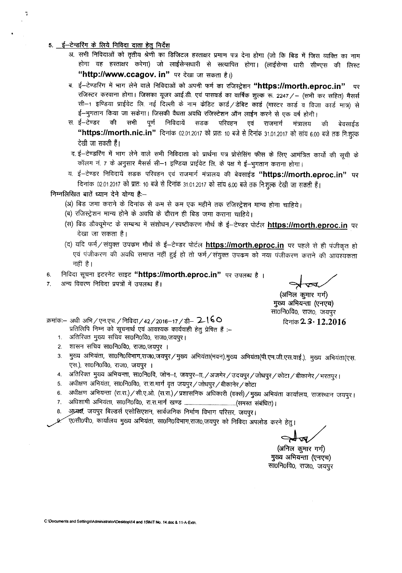- *5. t-~* cf; <sup>~</sup> <sup>~</sup> GTffi <sup>~</sup> <sup>~</sup>
	- अ. सभी निविदाओं को तृतीय श्रेणी का डिजिटल हस्ताक्षर प्रमाण पत्र देना होगा (जो कि बिड में जिस व्यक्ति का नाम होगा वह हस्ताक्षर करेगा) जो लाईसेन्सधारी से सत्यापित होगा। (लाईसेन्स धारी सीण्एस की लिस्ट "http://www.ccagov. in" पर देखा जा सकता है।)
	- ब. ई-टेण्डरिंग में भाग लेने वाले निविदाओं को अपनी फर्म का रजिस्ट्रेशन "https://morth.eproc.in" पर रजिस्टर करवाना होगा। जिसका यूजर आई.डी. एवं पासवर्ड का वार्षिक शुल्क रू. 2247 / - (सभी कर सहित) मैसर्स सी-1 इण्डिया प्राईवेट लि. नई दिल्ली के नाम केडिट कार्ड /डेबिट कार्ड (मास्टर कार्ड व विजा कार्ड मात्र) से بالسلام ई—मुगतान किया जा सकेगा। जिसकी वैधता अवधि रजिस्टेशन ऑन लाईन करने से एक वर्ष होगी<br>रा. ई—टेण्डर की सभी पूर्ण निविदायें सडक परिवहन एवं राजमार्ग मंत्रालय
	- स ई—टेण्डर की सभी पूर्ण निविदायें सडक परिवहन एवं राजमार्ग मंत्रालय की बे "https://morth.nic.in" दिनांक 02.01.2017 को प्रातः 10 बजे से दिनांक 31.01.2017 को सांय 6.00 बजे तक निःशुत्क देखी जा सकती हैं।
	- द. ई—टेण्डरिंग में भाग लेने वाले सभी निविदाता को प्रार्थना पत्र प्रोसेसिंग फीस के लिए आमंत्रित कार्यो की सूची के कॉलम नं. 7 के अनुसार मैसर्स सी--1 इण्डिया प्राईवेट लि. के पक्ष मे ई-भूगतान कराना होगा।
	- य. ई--टेण्डर निविदायें सडक परिवहन एवं राजमार्ग मंत्रालय की बेवसाईड "https://morth.eproc.in" पर दिनांक 02.01.2017 को प्रातः 10 बजे से दिनांक 31.01.2017 को सांय 6.00 बजे तक निःशुल्क देखी जा सकती हैं।

निम्नलिखित बातें ध्यान देने योग्य है:-

- (अ) बिड जमा कराने के दिनांक से कम से कम एक महीने तक रजिस्ट्रेशन मान्य होना चाहिये।
- or) विजयहरान करता के विभावतर से बता से बता एक नहान सके राजस्ट्रशन<br>(ब) रजिस्ट्रेशन मान्य होने के अवधि के दौरान ही बिड जमा कराना चाहिये।
- (~) f<g ;g)Cf1~rc cf; 'ffRRT -q ~/flltC'Cf),!OI ll'tci \* *t-~ ~* **https:llmorth.eproc.in <sup>~</sup>** ५७ जपपून <del>ह</del> पर सम्बन्ध न सरायन) स्पष्टाकरण नाय के इ–टण्डर पाटल <u>nttps.mnortn.eproc.in</u> ।<br>देखा जा सकता है।
- (द) यदि फर्म $\diagup$ संयुक्त उपक्रम मौर्थ के ई—टेण्डर पोर्टल <u>https://morth.eproc.in</u> पर पहले से ही पंजीकृत हो एवं पंजीकरण की अवधि समाप्त नहीं हुई हो तो फर्म/संयुक्त उपक्रम को नया पंजीकरण कराने की आवश्यकता नहीं है।
- **<sup>~</sup> <sup>~</sup> <sup>~</sup> <sup>~</sup> "https:llmorth.eproc.in"** tR <sup>~</sup> *t* <sup>1</sup> 6.
- अन्य विवरण निविदा प्रपत्रों में उपलब्ध हैं। 7.

~

(अनिल कूमार गर्ग) मुख्य अभियन्ता (एनएच) सा0नि0वि0, राज0, जयपुर

~2.3· **12.2016**

क्रमांक:– अधी अभि / एन.एच. / निविदा / 42 / 2016-17 / डी- 2-160 प्रतिलिपि निम्न को सूचनार्थ एवं आवश्यक कार्यवाही हेतु प्रेषित हैं :--

- 1. अतिरिक्त मुख्य सचिव सा0नि0वि0, राज0,जयपुर।
- 2. शासन सचिव सा0नि0वि0, राज0,जयपुर ।
- 3. मुख्य अभियंता, सा0नि0विभाग,राज0,जयपुर/मुख्य अभियंता(भवन),मुख्य अभियंता(पी.एम.जी.एस.वाई.), मुख्य अभियंता(एस. एस.), सा0नि0वि0, राज0, जयपुर ।
- 4. जतिरिक्त मुख्य अभियन्ता, सा0नि0वि, जोन-ना, जयपुर-ना, /अजमेर / उदयपुर / जोधपुर / कोटा / बीकानेर / भरतपुर |
- 5. अधीक्षण अभियंता, सा0नि0वि0, रा.रा.मार्ग वृत जयपुर / जोधपुर / बीकानेर / कोटा
- 6. अधीक्षण अभियन्ता (रा.रा.) / सी.ए.ओ. (रा.रा.) / प्रशासनिक अधिकारी (वर्क्स) / मुख्य अभियंता कार्यालय, राजस्थान जयपुर।
- 7. ~~, mof.1ofcto, XT.XT.l'fTl'f~ ("(1'l'ffiJ ~) 1
- 8. अध्यक्ष, जयपुर बिल्डर्स एसोसिएशन, सार्वजनिक निर्माण विभाग परिसर, जयपुर।
- .ए०सी०पी०, कार्यालय मुख्य अभियंता, सा०नि०विभाग,राज०,जयपुर को निविदा अपलोड करने हेतू।

~

(अनिल कुमार गर्ग) मुख्य अभियन्ता (एनएच) सा0नि0वि0, राज0, जयपुर

C:\Documents and Settings\Administrator\Desktop\14 and 15INIT No. 14.doc & 11-A-Extn.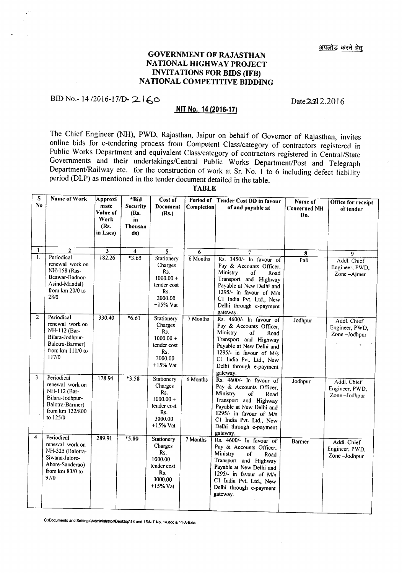#### GOVERNMENT OF RAJASTHAN NATIONAL HIGHWAY PROJECT INVITATIONS FOR BIDS (IFB) NATIONAL COMPETITIVE BIDDING

## BID No.- 14/2016-17/D- 2160

#### **NIT** No. 14 (2016-17)

The Chief Engineer (NH), PWD, Rajasthan, Jaipur on behalf of Governor of Rajasthan, invites online bids for e-tendering process from Competent Class/category of contractors registered in Public Works Department and equivalent Class/category of contractors registered in Central/State Governments and their undertakings/Central Public Works Department/Post and Telegraph Department/Railway etc. for the construction of work at Sr. No. 1 to 6 including defect liability period (DLP) as mentioned in the tender document detailed in the table.

TABLE

| S<br>No.       | Name of Work                                                                                                       | Approxi<br>mate<br>Value of<br>Work<br>(Rs.<br>in Lacs) | *Bid<br><b>Security</b><br>(Rs.<br>in<br>Thousan<br>ds) | Cost of<br>Document<br>(Rs.)                                                               | Period of<br>Completion | <b>Tender Cost DD in favour</b><br>of and payable at                                                                                                                                                                           | Name of<br><b>Concerned NH</b><br>Dn. | Office for receipt<br>of tender               |
|----------------|--------------------------------------------------------------------------------------------------------------------|---------------------------------------------------------|---------------------------------------------------------|--------------------------------------------------------------------------------------------|-------------------------|--------------------------------------------------------------------------------------------------------------------------------------------------------------------------------------------------------------------------------|---------------------------------------|-----------------------------------------------|
| $\mathbf{1}$   | $\overline{2}$                                                                                                     | 3                                                       | 4                                                       | 5                                                                                          | 6                       | 7                                                                                                                                                                                                                              | 8                                     | 9                                             |
| 1.             | Periodical<br>renewal work on<br>NH-158 (Ras-<br>Beawar-Badnor-<br>Asind-Mandal)<br>from km 20/0 to<br>28/0        | 182.26                                                  | $*3.65$                                                 | Stationery<br>Charges<br>Rs.<br>$1000.00 +$<br>tender cost<br>Rs.<br>2000.00<br>$+15%$ Vat | 6 Months                | Rs. 3450/- In favour of<br>Pay & Accounts Officer,<br>Ministry<br>of<br>Road<br>Transport and Highway<br>Payable at New Delhi and<br>1295/- in favour of M/s<br>C1 India Pvt. Ltd., New<br>Delhi through e-payment<br>gateway. | Pali                                  | Addl. Chief<br>Engineer, PWD,<br>Zone-Ajmer   |
| $\overline{2}$ | Periodical<br>renewal work on<br>NH-112 (Bar-<br>Bilara-Jodhpur-<br>Balotra-Barmer)<br>from km 111/0 to<br>117/0   | 330.40                                                  | $*6.61$                                                 | Stationery<br>Charges<br>Rs.<br>$1000.00 +$<br>tender cost<br>Rs.<br>3000.00<br>$+15%$ Vat | 7 Months                | Rs. 4600/- In favour of<br>Pay & Accounts Officer,<br>Ministry<br>οf<br>Road<br>Transport and Highway<br>Payable at New Delhi and<br>1295/- in favour of M/s<br>C1 India Pvt. Ltd., New<br>Delhi through e-payment<br>gateway. | Jodhpur                               | Addl. Chief<br>Engineer, PWD,<br>Zone-Jodhpur |
| 3              | Periodical<br>renewal work on<br>NH-112 (Bar-<br>Bilara-Jodhpur-<br>Balotra-Barmer)<br>from km 122/800<br>to 125/0 | 178.94                                                  | $*3.58$                                                 | Stationery<br>Charges<br>Rs.<br>$1000.00 +$<br>tender cost<br>Rs.<br>3000.00<br>$+15%$ Vat | 6 Months                | Rs. 4600/- In favour of<br>Pay & Accounts Officer,<br>Ministry<br>of<br>Road<br>Transport and Highway<br>Payable at New Delhi and<br>1295/- in favour of M/s<br>C1 India Pvt. Ltd., New<br>Delhi through e-payment<br>gateway. | Jodhpur                               | Addl. Chief<br>Engineer, PWD,<br>Zone-Jodhpur |
| 4              | Periodical<br>renewal work on<br>NH-325 (Balotra-<br>Siwana-Jalore-<br>Ahore-Sanderao)<br>from km 83/0 to<br>91/0  | 289.91                                                  | $*5.80$                                                 | Stationery<br>Charges<br>Rs.<br>$1000.00 +$<br>tender cost<br>Rs.<br>3000.00<br>$+15%$ Vat | 7 Months                | Rs. 4600/- In favour of<br>Pay & Accounts Officer,<br>Ministry<br>of<br>Road<br>Transport and Highway<br>Payable at New Delhi and<br>1295/- in favour of M/s<br>C1 India Pvt. Ltd., New<br>Delhi through e-payment<br>gateway. | Barmer                                | Addl. Chief<br>Engineer, PWD,<br>Zone-Jodhpur |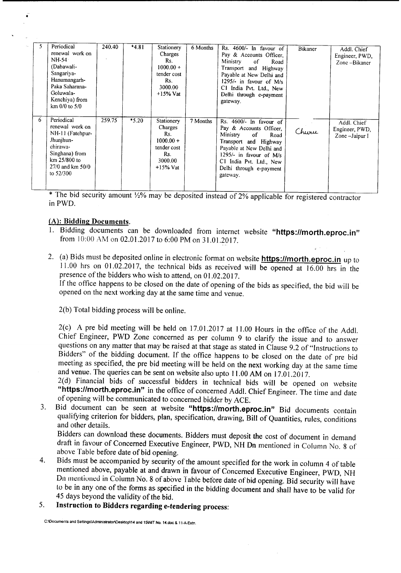| 5 | Periodical       | 240.40 | $*4.81$ | Stationery  | 6 Months |                                   |         |                |
|---|------------------|--------|---------|-------------|----------|-----------------------------------|---------|----------------|
|   | renewal work on  |        |         |             |          | Rs. 4600/- In favour of           | Bikaner | Addl. Chief    |
|   |                  |        |         | Charges     |          | Pay & Accounts Officer,           |         | Engineer, PWD, |
|   | NH-54            |        |         | Rs.         |          | Ministry<br><sup>of</sup><br>Road |         | Zone-Bikaner   |
|   | (Dabawali-       |        |         | $1000.00 +$ |          | Transport and Highway             |         |                |
|   | Sangariya-       |        |         | tender cost |          | Payable at New Delhi and          |         |                |
|   | Hanumangarh-     |        |         | Rs.         |          |                                   |         |                |
|   | Paka Saharana-   |        |         |             |          | 1295/- in favour of $M/s$         |         |                |
|   |                  |        |         | 3000.00     |          | C1 India Pvt. Ltd., New           |         |                |
|   | Goluwala-        |        |         | $+15\%$ Vat |          | Delhi through e-payment           |         |                |
|   | Kenchiya) from   |        |         |             |          | gateway.                          |         |                |
|   | km 0/0 to 5/0    |        |         |             |          |                                   |         |                |
|   |                  |        |         |             |          |                                   |         |                |
| 6 | Periodical       | 259.75 | $*5.20$ | Stationery  | 7 Months | Rs. $4600$ In favour of           |         |                |
|   |                  |        |         |             |          |                                   |         | Addl. Chief    |
|   |                  |        |         |             |          |                                   |         |                |
|   | renewal work on  |        |         | Charges     |          | Pay & Accounts Officer,           |         | Engineer, PWD, |
|   | NH-11 (Fatehpur- |        |         | Rs.         |          | Ministry<br><sub>of</sub><br>Road | Churu   | Zone-Jaipur I  |
|   | Jhunihun-        |        |         | $1000.00 +$ |          | Transport and Highway             |         |                |
|   | chirawa-         |        |         | tender cost |          |                                   |         |                |
|   |                  |        |         | Rs.         |          | Payable at New Delhi and          |         |                |
|   | Singhana) from   |        |         |             |          | 1295/- in favour of M/s           |         |                |
|   | km 25/800 to     |        |         | 3000.00     |          | C1 India Pvt. Ltd., New           |         |                |
|   | 27/0 and km 50/0 |        |         | $+15\%$ Vat |          | Delhi through e-payment           |         |                |
|   | to 52/300        |        |         |             |          | gateway.                          |         |                |
|   |                  |        |         |             |          |                                   |         |                |

\* The bid security amount  $\frac{1}{2\%}$  may be deposited instead of 2% applicable for registered contractor inPWD.

#### (A): Bidding Documents.

•

- 1. Bidding documents can be downloaded from internet website "https://morth.eproc.in" from 10:00 AM on 02.0l.2017 to 6:00 PM on 31.0l.2017.
- 2. (a) Bids must be deposited online in electronic format on website **https://morth.eproc.in** up to  $11.00$  hrs on 01.02.2017, the technical bids as received will be opened at 16.00 hrs in the presence of the bidders who wish to attend, on 01.02.2017.

If the office happens to be closed on the date of opening of the bids as specified, the bid will be opened on the next working day at the same time and venue.

2(b) Total bidding process will be online.

2(c) A pre bid meeting will be held on 17.01.2017 at 11.00 Hours in the office of the Add!. Chief Engineer, PWD Zone concerned as per column 9 to clarify the issue and to answer questions on any matter that may be raised at that stage as stated in Clause 9.2 of "Instructions to Bidders" of the bidding document. If the office happens to be closed on the date of pre bid meeting as specified, the pre bid meeting will be held on the next working day at the same time and venue. The queries can be sent on website also upto 11.00AM on 17.0I.2017.

2(d) Financial bids of successful bidders in technical bids will be opened on website "https://morth.eproc.in" in the office of concerned Addl. Chief Engineer. The time and date of opening will be communicated to concerned bidder by ACE.

3. Bid document can be seen at website "https://morth.eproc.in" Bid documents contain qualifying criterion for bidders, plan, specification, drawing, Bill of Quantities, rules, conditions and other details.

Bidders can download these documents. Bidders must deposit the cost of document in demand draft in favour of Concerned Executive Engineer, PWD, NH On mentioned in Column No.8 of above Table before date of bid opening.

- 4. Bids must be accompanied by security of the amount specified for the work in column 4 of table mentioned above, payable at and drawn in favour of Concerned Executive Engineer, PWD, NH Dn mentioned in Column No.8 of above Table before date of bid opening. Bid security will have to be in any one of the forms as specified in the bidding document and shall have to be valid for 45 days beyond the validity of the bid.
- 5. Instruction to Bidders regarding e-tendering process:

C:\Documents and Settings\Administrator\Desktop\14 and 15\NIT No. 14.doc & 11-A-Extn.